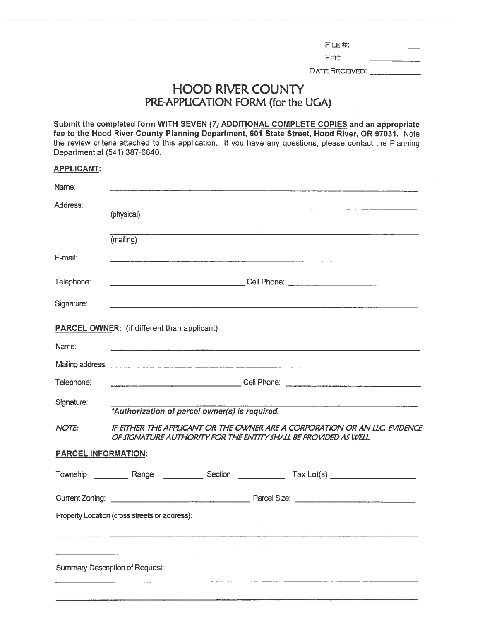| FIE# |  |
|------|--|
|------|--|

FEE:

DATE RECEIVED: \_\_\_\_\_\_\_\_\_\_\_\_\_

## **HOOD RIVER COUNTY** PRE-APPLICATION FORM (for the UGA)

Submit the completed form WITH SEVEN (7) ADDITIONAL COMPLETE COPIES and an appropriate fee to the Hood River County Planning Department, 601 State Street, Hood River, OR 97031. Note the review criteria attached to this application. If you have any questions, please contact the Planning Department at (541) 387-6840.

## **APPLICANT:**

| Name:                      |                                                                                                                                                                                                                                                  |
|----------------------------|--------------------------------------------------------------------------------------------------------------------------------------------------------------------------------------------------------------------------------------------------|
| Address:                   | (physical)                                                                                                                                                                                                                                       |
|                            | <u> 2000 - Johann Barn, amerikan basar pada 2000 - Johann Barn, amerikan basar pada 2000 - Johann Barn, ay isang p</u><br>(mailing)                                                                                                              |
| E-mail:                    |                                                                                                                                                                                                                                                  |
| Telephone:                 |                                                                                                                                                                                                                                                  |
| Signature:                 | <u> 1989년 - 대한민국의 대한민국의 대한민국의 대한민국의 대한민국의 대한민국의 대한민국의 대한민</u> 국의 대한민국의 대한민국의 대한민국의 대한민국의 대한민국의 대한민국의 대한민국의 대한민국의 대한민국의 대<br><u> 1989 - Andrea Andrew Marie II, amerikan bisa da shekara 1989 - Andrew Marie II, amerikan bisa da shekara 198</u> |
|                            | <b>PARCEL OWNER:</b> (if different than applicant)                                                                                                                                                                                               |
| Name:                      | <u> 1980 - John Stone, Amerikaansk politiker (* 1900)</u>                                                                                                                                                                                        |
|                            |                                                                                                                                                                                                                                                  |
| Telephone:                 |                                                                                                                                                                                                                                                  |
| Signature:                 | *Authorization of parcel owner(s) is required.                                                                                                                                                                                                   |
| <b>NOTE:</b>               | IF EITHER THE APPLICANT OR THE OWNER ARE A CORPORATION OR AN LLC, EVIDENCE<br>OF SIGNATURE AUTHORITY FOR THE ENTITY SHALL BE PROVIDED AS WELL.                                                                                                   |
| <b>PARCEL INFORMATION:</b> |                                                                                                                                                                                                                                                  |
|                            |                                                                                                                                                                                                                                                  |
|                            |                                                                                                                                                                                                                                                  |
|                            | Property Location (cross streets or address):                                                                                                                                                                                                    |
|                            |                                                                                                                                                                                                                                                  |
|                            | Summary Description of Request:                                                                                                                                                                                                                  |
|                            |                                                                                                                                                                                                                                                  |